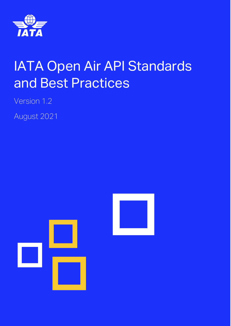

# IATA Open Air API Standards and Best Practices

Version 1.2

August 2021

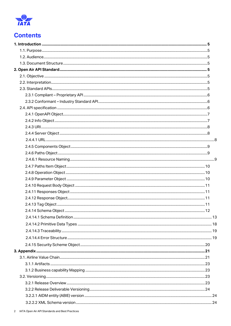

# **Contents**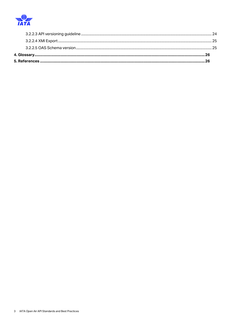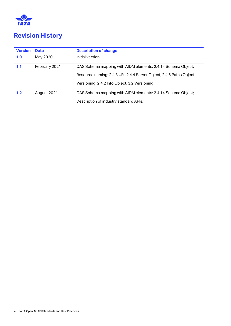

# **Revision History**

| <b>Version</b> | <b>Date</b>   | <b>Description of change</b>                                         |
|----------------|---------------|----------------------------------------------------------------------|
| 1.0            | May 2020      | Initial version                                                      |
| 1.1            | February 2021 | OAS Schema mapping with AIDM elements: 2.4.14 Schema Object;         |
|                |               | Resource naming: 2.4.3 URI, 2.4.4 Server Object, 2.4.6 Paths Object; |
|                |               | Versioning: 2.4.2 Info Object, 3.2 Versioning.                       |
| 1.2            | August 2021   | OAS Schema mapping with AIDM elements: 2.4.14 Schema Object;         |
|                |               | Description of industry standard APIs.                               |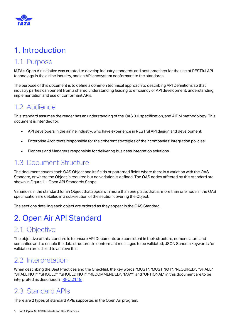

# <span id="page-4-0"></span>1. Introduction

# <span id="page-4-1"></span>1.1. Purpose

IATA's Open Air initiative was created to develop industry standards and best practices for the use of RESTful API technology in the airline industry, and an API ecosystem conformant to the standards.

The purpose of this document is to define a common technical approach to describing API Definitions so that industry parties can benefit from a shared understanding leading to efficiency of API development, understanding, implementation and use of conformant APIs.

# <span id="page-4-2"></span>1.2. Audience

This standard assumes the reader has an understanding of the OAS 3.0 specification, and AIDM methodology. This document is intended for:

- API developers in the airline industry, who have experience in RESTful API design and development;
- Enterprise Architects responsible for the coherent strategies of their companies' integration policies;
- Planners and Managers responsible for delivering business integration solutions.

# <span id="page-4-3"></span>1.3. Document Structure

The document covers each OAS Object and its fields or patterned fields where there is a variation with the OAS Standard, or where the Object is required but no variation is defined. The OAS nodes affected by this standard are shown in Figure 1 – [Open API Standards Scope.](#page-6-2)

Variances in the standard for an Object that appears in more than one place, that is, more than one node in the OAS specification are detailed in a sub-section of the section covering the Object.

The sections detailing each object are ordered as they appear in the OAS Standard.

# <span id="page-4-4"></span>2. Open Air API Standard

# <span id="page-4-5"></span>2.1. Objective

The objective of this standard is to ensure API Documents are consistent in their structure, nomenclature and semantics and to enable the data structures in conformant messages to be validated; JSON Schema keywords for validation are utilized to achieve this.

# <span id="page-4-6"></span>2.2. Interpretation

When describing the Best Practices and the Checklist, the key words "MUST", "MUST NOT", "REQUIRED", "SHALL", "SHALL NOT", "SHOULD", "SHOULD NOT", "RECOMMENDED", "MAY", and "OPTIONAL" in this document are to be interpreted as described in [RFC 2119](https://tools.ietf.org/html/rfc2119).

# <span id="page-4-7"></span>2.3. Standard APIs

There are 2 types of standard APIs supported in the Open Air program.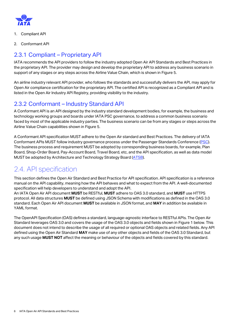

- 1. Compliant API
- 2. Conformant API

### <span id="page-5-0"></span>2.3.1 Compliant – Proprietary API

IATA recommends the API providers to follow the industry adopted Open Air API Standards and Best Practices in the proprietary API. The provider may design and develop the proprietary API to address any business scenario in support of any stages or any steps across the Airline Value Chain, which is shown in [Figure 5.](#page-21-0)

An airline industry relevant API provider, who follows the standards and successfully delivers the API, may apply for Open Air compliance certification for the proprietary API. The certified API is recognized as a Compliant API and is listed in the Open Air Industry API Registry, providing visibility to the industry.

### <span id="page-5-1"></span>2.3.2 Conformant – Industry Standard API

A Conformant API is an API designed by the industry standard development bodies, for example, the business and technology working groups and boards under IATA PSC governance, to address a common business scenario faced by most of the applicable industry parties. The business scenario can be from any stages or steps across the Airline Value Chain capabilities shown in [Figure 5.](#page-21-0)

A Conformant API specification MUST adhere to the Open Air standard and Best Practices. The delivery of IATA Conformant APIs MUST follow industry governance process under the Passenger Standards Conference [\(PSC\)](https://www.iata.org/en/programs/workgroups/passenger-standards-conference/architecture-technology-strategy/). The business process and requirement MUST be adopted by corresponding business boards, for example, Plan Board, Shop-Order Board, Pay-Account Board, Travel Board, etc, and the API specification, as well as data model MUST be adopted by Architecture and Technology Strategy Board [\(ATSB\)](https://www.iata.org/en/programs/workgroups/passenger-standards-conference/architecture-technology-strategy/).

# <span id="page-5-2"></span>2.4. API specification

This section defines the Open Air Standard and Best Practice for API specification. API specification is a reference manual on the API capability, meaning how the API behaves and what to expect from the API. A well-documented specification will help developers to understand and adopt the API.

An IATA Open Air API document **MUST** be RESTful, **MUST** adhere to OAS 3.0 standard, and **MUST** use HTTPS protocol. All data structures **MUST** be defined using JSON Schema with modifications as defined in the OAS 3.0 standard. Each Open Air API document **MUST** be available in JSON format, and **MAY** in addition be available in YAML format.

The OpenAPI Specification (OAS) defines a standard, language-agnostic interface to RESTful APIs. The Open Air Standard leverages OAS 3.0 and covers the usage of the OAS 3.0 objects and fields shown i[n Figure 1](#page-6-2) below. This document does not intend to describe the usage of all required or optional OAS objects and related fields. Any API defined using the Open Air Standard **MAY** make use of any other objects and fields of the OAS 3.0 Standard, but any such usage **MUST NOT** affect the meaning or behaviour of the objects and fields covered by this standard.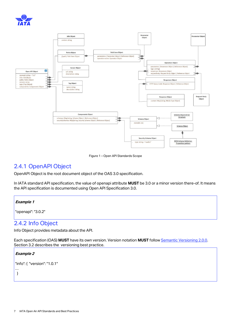



Figure 1 – Open API Standards Scope

### <span id="page-6-2"></span><span id="page-6-0"></span>2.4.1 OpenAPI Object

OpenAPI Object is the root document object of the OAS 3.0 specification.

In IATA standard API specification, the value of openapi attribute **MUST** be 3.0 or a minor version there-of. It means the API specification is documented using Open API Specification 3.0.

#### **Example 1**

"openapi": "3.0.2"

### <span id="page-6-1"></span>2.4.2 Info Object

Info Object provides metadata about the API.

Each specification (OAS) **MUST** have its own version. Version notation **MUST** follow [Semantic Versioning 2.0.0.](https://semver.org/) Sectio[n 3.2](#page-22-2) describes the versioning best practice.

#### **Example 2**

```
"info": { "version": "1.0.1"
…
```
}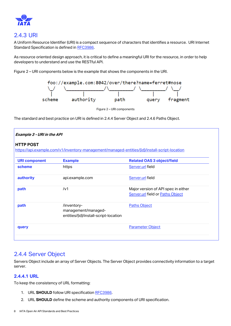

### <span id="page-7-0"></span>2.4.3 URI

A Uniform Resource Identifier (URI) is a compact sequence of characters that identifies a resource. URI Internet Standard Specification is defined in [RFC3986.](https://tools.ietf.org/html/rfc3986)

As resource oriented design approach, it is critical to define a meaningful URI for the resource, in order to help developers to understand and use the RESTful API.

Figure 2 – [URI components](#page-7-3) [below](#page-7-3) is the example that shows the components in the URI.



Figure 2 – URI components

<span id="page-7-3"></span>The standard and best practice on URI is defined in [2.4.4](#page-7-1) [Server Object](#page-7-1) and [2.4.6](#page-8-1) [Paths Object.](#page-8-1)

| Example 3 - URI in the API |                                                                                               |                                                                                |  |
|----------------------------|-----------------------------------------------------------------------------------------------|--------------------------------------------------------------------------------|--|
| <b>HTTP POST</b>           | https://api.example.com/v1/inventory-management/managed-entities/{id}/install-script-location |                                                                                |  |
| <b>URI component</b>       | <b>Example</b>                                                                                | <b>Related OAS 3 object/field</b>                                              |  |
| scheme                     | https                                                                                         | Server.url field                                                               |  |
| authority                  | api.example.com                                                                               | Server.url field                                                               |  |
| path                       | $\sqrt{1}$                                                                                    | Major version of API spec in either<br><b>Server.url field or Paths Object</b> |  |
| path                       | /inventory-<br>management/managed-<br>entities/{id}/install-script-location                   | <b>Paths Object</b>                                                            |  |
| query                      |                                                                                               | <b>Parameter Object</b>                                                        |  |
|                            |                                                                                               |                                                                                |  |

### <span id="page-7-1"></span>2.4.4 Server Object

Servers Object include an array of Server Objects. The Server Object provides connectivity information to a target server.

#### <span id="page-7-2"></span>**2.4.4.1 URL**

To keep the consistency of URL formatting:

- 1. URL **SHOULD** follow URI specification [RFC3986.](https://tools.ietf.org/html/rfc3986)
- 2. URL **SHOULD** define the scheme and authority components of URI specification.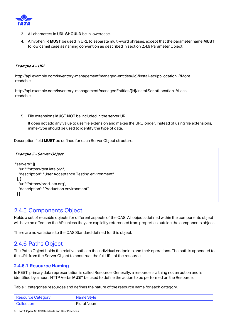

- 3. All characters in URL **SHOULD** be in lowercase.
- 4. A hyphen (-) **MUST** be used in URL to separate multi-word phrases, except that the parameter name **MUST** follow camel case as naming convention as described in section [2.4.9](#page-9-2) [Parameter Object.](#page-9-2)

#### **Example 4 – URL**

http://api.example.com/inventory-management/managed-entities/{id}/install-script-location //More readable

http://api.example.com/inventory-management/managedEntities/{id}/installScriptLocation //Less readable

5. File extensions **MUST NOT** be included in the server URL.

It does not add any value to use file extension and makes the URL longer. Instead of using file extensions, mime-type should be used to identify the type of data.

Description field **MUST** be defined for each Server Object structure.

```
Example 5 - Server Object
"servers": [{
  "url": "https://test.iata.org",
  "description": "User Acceptance Testing environment"
 }, {
  "url": "https://prod.iata.org",
  "description": "Production environment"
\overline{\ }
```
### <span id="page-8-0"></span>2.4.5 Components Object

Holds a set of reusable objects for different aspects of the OAS. All objects defined within the components object will have no effect on the API unless they are explicitly referenced from properties outside the components object.

There are no variations to the OAS Standard defined for this object.

### <span id="page-8-1"></span>2.4.6 Paths Object

The Paths Object holds the relative paths to the individual endpoints and their operations. The path is appended to the URL from the Server Object to construct the full URL of the resource.

#### <span id="page-8-2"></span>**2.4.6.1 Resource Naming**

In REST, primary data representation is called Resource. Generally, a resource is a thing not an action and is identified by a noun. HTTP Verbs **MUST** be used to define the action to be performed on the Resource.

[Table 1](#page-9-3) categories resources and defines the nature of the resource name for each category.

| <b>Resource Category</b> | Name Style  |
|--------------------------|-------------|
| <b>Collection</b>        | Plural Noun |

9 IATA Open Air API Standards and Best Practices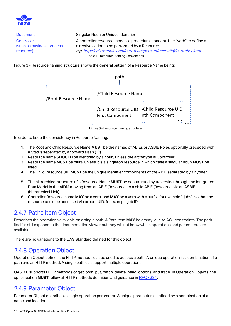

| Document                                              | Singular Noun or Unique Identifier                                                                                                                                                                   |
|-------------------------------------------------------|------------------------------------------------------------------------------------------------------------------------------------------------------------------------------------------------------|
| Controller<br>(such as business process)<br>resource) | A controller resource models a procedural concept. Use "verb" to define a<br>directive action to be performed by a Resource.<br>e.g. http://api.example.com/cart-management/users/{id}/cart/checkout |
|                                                       | Table 1 - Resource Naming Conventions                                                                                                                                                                |

<span id="page-9-3"></span>Figure 3 - [Resource naming structure](#page-9-4) shows the general pattern of a Resource Name being:



<span id="page-9-4"></span>In order to keep the consistency in Resource Naming:

- 1. The Root and Child Resource Name **MUST** be the names of ABIEs or ASBIE Roles optionally preceded with a Status separated by a forward slash ("/").
- 2. Resource name **SHOULD** be identified by a noun, unless the archetype is Controller.
- 3. Resource name **MUST** be plural unless it is a singleton resource in which case a singular noun **MUST** be used.
- 4. The Child Resource UID **MUST** be the unique identifier components of the ABIE separated by a hyphen.
- 5. The hierarchical structure of a Resource Name **MUST** be constructed by traversing through the Integrated Data Model in the AIDM moving from an ABIE (Resource) to a child ABIE (Resource) via an ASBIE (Hierarchical Link).
- 6. Controller Resource name **MAY** be a verb, and **MAY** be a verb with a suffix, for example "-jobs", so that the resource could be accessed via proper UID, for example job ID.

### <span id="page-9-0"></span>2.4.7 Paths Item Object

Describes the operations available on a single path. A Path Item **MAY** be empty, due t[o ACL constraints.](https://swagger.io/specification/#securityFiltering) The path itself is still exposed to the documentation viewer but they will not know which operations and parameters are available.

There are no variations to the OAS Standard defined for this object.

### <span id="page-9-1"></span>2.4.8 Operation Object

Operation Object defines the HTTP methods can be used to access a path. A unique operation is a combination of a path and an HTTP method. A single path can support multiple operations.

OAS 3.0 supports HTTP methods of get, post, put, patch, delete, head, options, and trace. In Operation Objects, the specification **MUST** follow all HTTP methods definition and guidance in [RFC7231](https://tools.ietf.org/html/rfc7231).

### <span id="page-9-2"></span>2.4.9 Parameter Object

Parameter Object describes a single operation parameter. A unique parameter is defined by a combination of a name and location.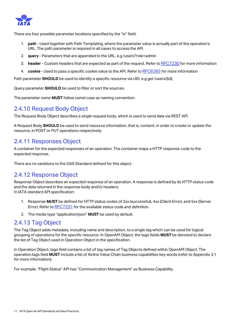

There are four possible parameter locations specified by the "in" field:

- 1. **path** Used together with Path Templating, where the parameter value is actually part of the operation's URL. The path parameter is required in all cases to access the API.
- 2. **query** Parameters that are appended to the URL. e.g /users?role=admin
- 3. **header** Custom headers that are expected as part of the request. Refer to [RFC7230](https://tools.ietf.org/html/rfc7230#page-22) for more information
- 4. **cookie** Used to pass a specific cookie value to the API. Refer to [RFC6265](https://tools.ietf.org/html/rfc6265) for more information

Path parameter **SHOULD** be used to identify a specific resource via UID, e.g get /users/{id}.

Query parameter **SHOULD** be used to filter or sort the sources.

The parameter name **MUST** follow camel case as naming convention.

### <span id="page-10-0"></span>2.4.10 Request Body Object

The Request Body Object describes a single request body, which is used to send data via REST API.

A Request Body **SHOULD** be used to send resource information, that is, content, in order to create or update the resource, in POST or PUT operations respectively.

### <span id="page-10-1"></span>2.4.11 Responses Object

A container for the expected responses of an operation. The container maps a HTTP response code to the expected response.

There are no variations to the OAS Standard defined for this object.

### <span id="page-10-2"></span>2.4.12 Response Object

Response Object describes an expected response of an operation. A response is defined by its HTTP status code and the data returned in the response body and/or headers.

In IATA standard API specification:

- 1. Response **MUST** be defined for HTTP status codes of 2xx (successful), 4xx (Client Error), and 5xx (Server Error). Refer to [RFC7231](https://tools.ietf.org/html/rfc7231) for the available status code and definition.
- 2. The media type "application/json" **MUST** be used by default.

### <span id="page-10-3"></span>2.4.13 Tag Object

The Tag Object adds metadata, including name and description, to a single tag which can be used for logical grouping of operations for the specific resource. In OpenAPI Object, the tags fields **MUST** be denoted to declare the list of Tag Object used in Operation Object in the specification.

In Operation Object, tags field contains a list of tag names of Tag Objects defined within OpenAPI Object. The operation.tags field **MUST** include a list of Airline Value Chain business capabilities key words (refer to Appendix 3.1 for more information).

For example, "Flight Status" API has "Communication Management" as Business Capability.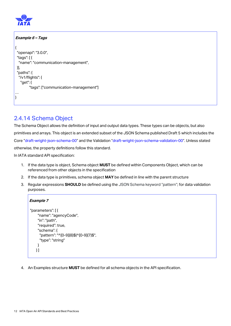

```
Example 6 – Tags
```

```
{
  "openapi": "3.0.0",
  "tags": [ {
   "name": "communication-management",
 }],
  "paths": {
   "/v1/flights": {
    "get": {
        "tags": ["communication-management"]
…
}
```
### <span id="page-11-0"></span>2.4.14 Schema Object

The Schema Object allows the definition of input and output data types. These types can be objects, but also primitives and arrays. This object is an extended subset of the JSON Schema published Draft 5 which includes the Core "[draft-wright-json-schema-00](https://tools.ietf.org/html/draft-wright-json-schema-00)" and the Validation "draft-wright-json-schema-validation-00". Unless stated otherwise, the property definitions follow this standard.

In IATA standard API specification:

- 1. If the data type is object, Schema object **MUST** be defined within Components Object, which can be referenced from other objects in the specification
- 2. If the data type is primitives, schema object **MAY** be defined in line with the parent structure
- 3. Regular expressions **SHOULD** be defined using the JSON Schema keyword "pattern"; for data validation purposes.

```
Example 7
```

```
"parameters": [ {
     "name": "agencyCode",
     "in": "path",
     "required": true,
     "schema": {
       "pattern": "^[0-9]{8}$|^[0-9]{7}$",
       "type": "string"
     }
    } ]
```
4. An Examples structure **MUST** be defined for all schema objects in the API specification.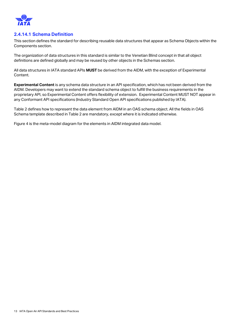

#### <span id="page-12-0"></span>**2.4.14.1 Schema Definition**

This section defines the standard for describing reusable data structures that appear as Schema Objects within the Components section.

The organization of data structures in this standard is similar to the Venetian Blind concept in that all object definitions are defined globally and may be reused by other objects in the Schemas section.

All data structures in IATA standard APIs **MUST** be derived from the AIDM, with the exception of Experimental Content.

**Experimental Content** is any schema data structure in an API specification, which has not been derived from the AIDM. Developers may want to extend the standard schema object to fulfill the business requirements in the proprietary API, so Experimental Content offers flexibility of extension. Experimental Content MUST NOT appear in any Conformant API specifications (Industry Standard Open API specifications published by IATA).

[Table 2](#page-16-0) defines how to represent the data element from AIDM in an OAS schema object. All the fields in OAS Schema template described in Table 2 are mandatory, except where it is indicated otherwise.

[Figure 4](#page-13-0) is the meta-model diagram for the elements in AIDM integrated data model.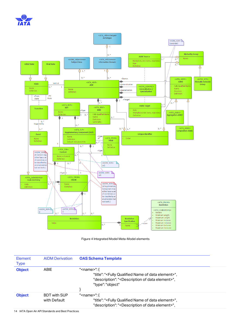



Figure 4 Integrated Model Meta-Model elements

<span id="page-13-0"></span>

| Element<br><b>Type</b> | <b>AIDM Derivation</b>              | <b>OAS Schema Template</b>                                                                                                                                                                                      |  |
|------------------------|-------------------------------------|-----------------------------------------------------------------------------------------------------------------------------------------------------------------------------------------------------------------|--|
| <b>Object</b>          | <b>ABIE</b>                         | " <name>": <math>\{</math><br/>"title": "<fully data="" element="" name="" of="" qualified="">",<br/>"description": "<description data="" element="" of="">",<br/>"tvpe": "obiect"</description></fully></name> |  |
| <b>Object</b>          | <b>BDT with SUP</b><br>with Default | " <name>": {<br/>"title": "<fully data="" element="" name="" of="" qualified="">",<br/>"description": "<description data="" element="" of="">",</description></fully></name>                                    |  |

14 IATA Open Air API Standards and Best Practices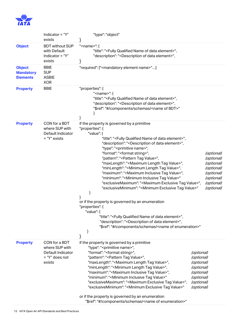

|                                                      | Indicator = "Y"<br>exists                                                        | "type": "object"                                                                                                                                                                                                                                                                                                                                                                                                                                                                                                                                                                                                                                                                                                                                                                                                                                                                                                                                                                                                                                                                                                                                           |                                                                                                              |                                                                                                              |
|------------------------------------------------------|----------------------------------------------------------------------------------|------------------------------------------------------------------------------------------------------------------------------------------------------------------------------------------------------------------------------------------------------------------------------------------------------------------------------------------------------------------------------------------------------------------------------------------------------------------------------------------------------------------------------------------------------------------------------------------------------------------------------------------------------------------------------------------------------------------------------------------------------------------------------------------------------------------------------------------------------------------------------------------------------------------------------------------------------------------------------------------------------------------------------------------------------------------------------------------------------------------------------------------------------------|--------------------------------------------------------------------------------------------------------------|--------------------------------------------------------------------------------------------------------------|
| <b>Object</b>                                        | <b>BDT</b> without SUP<br>with Default<br>Indicator = "Y"<br>exists              | " <name>": {<br/>"title": "<fully data="" element="" name="" of="" qualified="">",<br/>"description": "<description data="" element="" of="">",</description></fully></name>                                                                                                                                                                                                                                                                                                                                                                                                                                                                                                                                                                                                                                                                                                                                                                                                                                                                                                                                                                               |                                                                                                              |                                                                                                              |
| <b>Object</b><br><b>Mandatory</b><br><b>Elements</b> | <b>BBIE</b><br><b>SUP</b><br><b>ASBIE</b><br><b>XOR</b>                          | "required": [" <mandatory element="" name="">"]</mandatory>                                                                                                                                                                                                                                                                                                                                                                                                                                                                                                                                                                                                                                                                                                                                                                                                                                                                                                                                                                                                                                                                                                |                                                                                                              |                                                                                                              |
| <b>Property</b>                                      | <b>BBIE</b>                                                                      | "properties": {<br>" <name>":<math>\{</math><br/>"title": "<fully data="" element="" name="" of="" qualified="">",<br/>"description": "<description data="" element="" of="">",<br/>"\$ref": "#/components/schemas/<name bdt="" of="">"</name></description></fully></name>                                                                                                                                                                                                                                                                                                                                                                                                                                                                                                                                                                                                                                                                                                                                                                                                                                                                                |                                                                                                              |                                                                                                              |
| <b>Property</b>                                      | CON for a BDT<br>where SUP with<br>Default Indicator<br>= "Y" exists             | if the property is governed by a primitive<br>"properties": {<br>"value": {<br>"title": " <fully data="" element="" name="" of="" qualified="">",<br/>"description": "<description data="" element="" of="">",<br/>"type": "<primitive name="">",<br/>"format": "<format string="">",<br/>"pattern": "<pattern tag="" value="">",<br/>"maxLength": "<maximum length="" tag="" value="">",<br/>"minLength": "<minimum length="" tag="" value="">",<br/>"maximum": "<maximum inclusive="" tag="" value="">",<br/>"minimum": "<minimum inclusive="" tag="" value="">"<br/>"exclusiveMaximum": "<maximum exclusive="" tag="" value="">",<br/>"exclusiveMinimum": "<minimum exclusive="" tag="" value="">"<br/>or if the property is governed by an enumeration<br/>"properties": {<br/>"value": {<br/>"title": "<fully data="" element="" name="" of="" qualified="">",<br/>"description": "<description data="" element="" of="">",<br/>"\$ref": "#/components/schemas/<name enumeration="" of="">"<br/>}<br/>}</name></description></fully></minimum></maximum></minimum></maximum></minimum></maximum></pattern></format></primitive></description></fully> |                                                                                                              | (optional)<br>(optional)<br>(optional)<br>(optional)<br>(optional)<br>(optional)<br>(optional)<br>(optional) |
| <b>Property</b>                                      | CON for a BDT<br>where SUP with<br>Default Indicator<br>= "Y" does not<br>exists | if the property is governed by a primitive<br>"type": " <primitive name="">",<br/>"format": "<format string="">",<br/>"pattern": "<pattern tag="" value="">",<br/>"maxLength": "<maximum length="" tag="" value="">",<br/>"minLength": "<minimum length="" tag="" value="">",<br/>"maximum": "<maximum inclusive="" tag="" value="">",<br/>"minimum": "<minimum inclusive="" tag="" value="">"<br/>"exclusiveMaximum": "<maximum exclusive="" tag="" value="">",<br/>"exclusiveMinimum": "<minimum exclusive="" tag="" value="">"<br/>or if the property is governed by an enumeration<br/>"\$ref": "#/components/schemas/<name enumeration="" of="">"</name></minimum></maximum></minimum></maximum></minimum></maximum></pattern></format></primitive>                                                                                                                                                                                                                                                                                                                                                                                                   | (optional)<br>(optional)<br>(optional)<br>(optional)<br>(optional)<br>(optional)<br>(optional)<br>(optional) |                                                                                                              |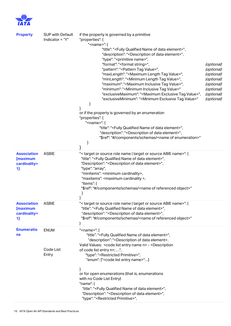

| <b>Property</b>                                      | <b>SUP with Default</b><br>Indicator = "Y" | if the property is governed by a primitive<br>"properties": {<br>" <name>": {<br/>"title": "<fully data="" element="" name="" of="" qualified="">",<br/>"description": "<description data="" element="" of="">",<br/>"type": "<primitive name="">",<br/>"format": "<format string="">",<br/>"pattern": "<pattern tag="" value="">",<br/>"maxLength": "<maximum length="" tag="" value="">",<br/>"minLength": "<minimum length="" tag="" value="">",<br/>"maximum": "<maximum inclusive="" tag="" value="">",<br/>"minimum": "<minimum inclusive="" tag="" value="">"<br/>"exclusiveMaximum": "<maximum exclusive="" tag="" value="">",<br/>"exclusiveMinimum": "<minimum exclusive="" tag="" value="">"<br/>or if the property is governed by an enumeration<br/>"properties": {<br/>"<name>": {<br/>"title": "<fully data="" element="" name="" of="" qualified="">",<br/>"description": "<description data="" element="" of="">",<br/>"\$ref": "#/components/schemas/<name enumeration="" of="">"</name></description></fully></name></minimum></maximum></minimum></maximum></minimum></maximum></pattern></format></primitive></description></fully></name> | (optional)<br>(optional)<br>(optional)<br>(optional)<br>(optional)<br>(optional)<br>(optional)<br>(optional) |
|------------------------------------------------------|--------------------------------------------|-----------------------------------------------------------------------------------------------------------------------------------------------------------------------------------------------------------------------------------------------------------------------------------------------------------------------------------------------------------------------------------------------------------------------------------------------------------------------------------------------------------------------------------------------------------------------------------------------------------------------------------------------------------------------------------------------------------------------------------------------------------------------------------------------------------------------------------------------------------------------------------------------------------------------------------------------------------------------------------------------------------------------------------------------------------------------------------------------------------------------------------------------------------------|--------------------------------------------------------------------------------------------------------------|
| <b>Association</b><br>[maximum<br>cardinality><br>1] | <b>ASBIE</b>                               | "< target or source role name   target or source ABIE name>": {<br>"title": " <fully data="" element="" name="" of="" qualified="">",<br/>"Description": "<description data="" element="" of="">",<br/>"type": "array",<br/>"minitems": <minimum cardinality="">,<br/>"maxitems": <maximum cardinality="">,<br/>"items": {<br/>"\$ref": "#/components/schemas/<name object="" of="" referenced="">"</name></maximum></minimum></description></fully>                                                                                                                                                                                                                                                                                                                                                                                                                                                                                                                                                                                                                                                                                                            |                                                                                                              |
| <b>Association</b><br>[maximum<br>cardinality=<br>1] | <b>ASBIE</b>                               | "< target or source role name   target or source ABIE name>": {<br>"title": " <fully data="" element="" name="" of="" qualified="">",<br/>"description": "<description data="" element="" of="">",<br/>"\$ref": "#/components/schemas/<name object="" of="" referenced="">"</name></description></fully>                                                                                                                                                                                                                                                                                                                                                                                                                                                                                                                                                                                                                                                                                                                                                                                                                                                        |                                                                                                              |
| <b>Enumeratio</b><br>ns                              | <b>ENUM</b><br>Code List<br>Entry          | " <name>": {<br/>"title": "<fully data="" element="" name="" of="" qualified="">",<br/>"description": "<description data="" element="" of="">.<br/>Valid Values: &lt; code list entry name n&gt; - &lt; Description<br/>of code list entry n&gt;; ",<br/>"type": "<restricted primitive="">",<br/>"enum": ["<code entry="" list="" name="">"]<br/>or for open enumerations (that is, enumerations<br/>with no Code List Entry)<br/>"name":<math>\{</math><br/>"title": "<fully data="" element="" name="" of="" qualified="">",<br/>"Description": "<description data="" element="" of="">",<br/>"type": "<restricted primitive="">",</restricted></description></fully></code></restricted></description></fully></name>                                                                                                                                                                                                                                                                                                                                                                                                                                       |                                                                                                              |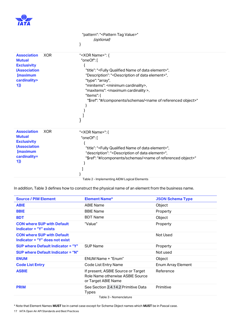

|                                                                                                                              |            | "pattern": " <pattern tag="" value="">"</pattern>                                                                                                                                                                                                                                                                                                                                                                             |
|------------------------------------------------------------------------------------------------------------------------------|------------|-------------------------------------------------------------------------------------------------------------------------------------------------------------------------------------------------------------------------------------------------------------------------------------------------------------------------------------------------------------------------------------------------------------------------------|
|                                                                                                                              |            | (optional)                                                                                                                                                                                                                                                                                                                                                                                                                    |
|                                                                                                                              |            |                                                                                                                                                                                                                                                                                                                                                                                                                               |
| <b>Association</b><br><b>Mutual</b><br><b>Exclusivity</b><br><b>(Association</b><br><b>[maximum</b><br>cardinality><br>$1$ ] | <b>XOR</b> | " <xor name="">": {<br/>"oneOf": [<br/>"title": "<fully data="" element="" name="" of="" qualified="">",<br/>"Description": "<description data="" element="" of="">",<br/>"type": "array",<br/>"minitems": <minimum cardinality="">,<br/>"maxitems": <maximum cardinality="">,<br/>"items": {<br/>"\$ref": "#/components/schemas/<name object="" of="" referenced="">"</name></maximum></minimum></description></fully></xor> |
| <b>Association</b><br><b>Mutual</b><br><b>Exclusivity</b><br><b>(Association</b><br><b>[maximum</b><br>cardinality=<br>$1$ ] | <b>XOR</b> | " <xor name="">": {<br/>"oneOf": [<br/>"title": "<fully data="" element="" name="" of="" qualified="">",<br/>"description": "<description data="" element="" of="">",<br/>"\$ref": "#/components/schemas/<name object="" of="" referenced="">"</name></description></fully></xor>                                                                                                                                             |

<span id="page-16-0"></span>In addition, [Table 3](#page-16-1) defines how to construct the physical name of an element from the business name.

| <b>Source / PIM Element</b>                                                | <b>Element Name*</b>                                                                          | <b>JSON Schema Type</b>   |
|----------------------------------------------------------------------------|-----------------------------------------------------------------------------------------------|---------------------------|
| <b>ABIE</b>                                                                | <b>ABIE Name</b>                                                                              | Object                    |
| <b>BBIE</b>                                                                | <b>BBIE Name</b>                                                                              | Property                  |
| <b>BDT</b>                                                                 | <b>BDT Name</b>                                                                               | Object                    |
| <b>CON where SUP with Default</b><br>Indicator = "Y" exists                | "Value"                                                                                       | Property                  |
| <b>CON where SUP with Default</b><br><b>Indicator = "Y" does not exist</b> |                                                                                               | Not Used                  |
| <b>SUP where Default Indicator = "Y"</b>                                   | <b>SUP Name</b>                                                                               | Property                  |
| <b>SUP where Default Indicator = "N"</b>                                   |                                                                                               | Not used                  |
| <b>ENUM</b>                                                                | ENUM Name + "Enum"                                                                            | Object                    |
| <b>Code List Entry</b>                                                     | Code List Entry Name                                                                          | <b>Enum Array Element</b> |
| <b>ASBIE</b>                                                               | If present, ASBIE Source or Target<br>Role Name otherwise ASBIE Source<br>or Target ABIE Name | Reference                 |
| <b>PRIM</b>                                                                | See Section 2.4.14.2 Primitive Data<br><b>Types</b>                                           | Primitive                 |
|                                                                            | Table 3 - Nomenclature                                                                        |                           |

Table 3 - Nomenclature

<span id="page-16-1"></span>\* Note that Element Names **MUST** be in camel case except for Schema Object names which **MUST** be in Pascal case.

17 IATA Open Air API Standards and Best Practices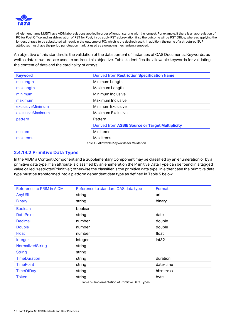

All element name MUST have AIDM abbreviations applied in order of length starting with the longest. For example, if there is an abbreviation of PO for Post Office and an abbreviation of PST for Post, if you apply PST abbreviation first, the outcome will be PST Office, whereas applying the longest phrase to be substituted will result in the outcome of PO; which is the desired result. In addition, the name of a structured SUP attributes must have the period punctuation mark (.), used as a grouping mechanism, removed.

An objective of this standard is the validation of the data content of instances of OAS Documents. Keywords, as well as data structure, are used to address this objective[. Table 4](#page-17-1) identifies the allowable keywords for validating the content of data and the cardinality of arrays.

|                  | <b>Derived from Restriction Specification Name</b> |  |
|------------------|----------------------------------------------------|--|
| minlength        | Minimum Length                                     |  |
| maxlength        | Maximum Length                                     |  |
| minimum          | Minimum Inclusive                                  |  |
| maximum          | Maximum Inclusive                                  |  |
| exclusiveMinimum | Minimum Exclusive                                  |  |
| exclusiveMaximum | Maximum Exclusive                                  |  |
| pattern          | Pattern                                            |  |
|                  | Derived from ASBIE Source or Target Multiplicity   |  |
| minitem          | Min Items                                          |  |
| maxitems         | Max Items                                          |  |

#### <span id="page-17-1"></span><span id="page-17-0"></span>**2.4.14.2 Primitive Data Types**

In the AIDM a Content Component and a Supplementary Component may be classified by an enumeration or by a primitive data type. If an attribute is classified by an enumeration the Primitive Data Type can be found in a tagged value called "restrictedPrimitive"; otherwise the classifier is the primitive data type. In either case the primitive data type must be transformed into a platform dependent data type as defined i[n Table 5](#page-17-2) below.

| <b>Reference to PRIM in AIDM</b> | Reference to standard OAS data type | Format            |
|----------------------------------|-------------------------------------|-------------------|
| AnyURI                           | string                              | uri               |
| <b>Binary</b>                    | string                              | binary            |
| <b>Boolean</b>                   | boolean                             |                   |
| <b>DatePoint</b>                 | string                              | date              |
| <b>Decimal</b>                   | number                              | double            |
| <b>Double</b>                    | number                              | double            |
| <b>Float</b>                     | number                              | float             |
| Integer                          | integer                             | int <sub>32</sub> |
| NormalizedString                 | string                              |                   |
| <b>String</b>                    | string                              |                   |
| <b>TimeDuration</b>              | string                              | duration          |
| <b>TimePoint</b>                 | string                              | date-time         |
| <b>TimeOfDay</b>                 | string                              | hh:mm:ss          |
| <b>Token</b>                     | string                              | byte              |

<span id="page-17-2"></span>Table 5 - Implementation of Primitive Data Types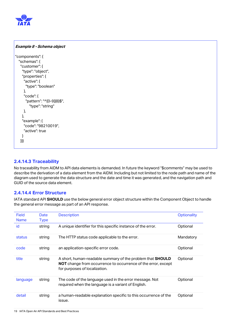

**Example 8 - Schema object**

```
"components": {
  "schemas": {
   "customer": {
     "type": "object",
     "properties": {
      "active": {
       "type": "boolean"
     },
      "code": {
       "pattern": "^[0-9]{8}$",
        "type": "string"
     },
     },
     "example": {
     "code": "98210019",
      "active": true
    }
   }}}
```
#### <span id="page-18-0"></span>**2.4.14.3 Traceability**

No traceability from AIDM to API data elements is demanded. In future the keyword "\$comments" may be used to describe the derivation of a data element from the AIDM. Including but not limited to the node path and name of the diagram used to generate the data structure and the date and time it was generated, and the navigation path and GUID of the source data element.

#### <span id="page-18-1"></span>**2.4.14.4 Error Structure**

IATA standard API **SHOULD** use the below general error object structure within the Component Object to handle the general error message as part of an API response.

| Field<br><b>Name</b> | Date<br><b>Type</b> | <b>Description</b>                                                                                                                                                         | <b>Optionality</b> |
|----------------------|---------------------|----------------------------------------------------------------------------------------------------------------------------------------------------------------------------|--------------------|
| id                   | string              | A unique identifier for this specific instance of the error.                                                                                                               | Optional           |
| status               | string              | The HTTP status code applicable to the error.                                                                                                                              | Mandatory          |
| code                 | string              | an application-specific error code.                                                                                                                                        | Optional           |
| title                | string              | A short, human-readable summary of the problem that <b>SHOULD</b><br><b>NOT</b> change from occurrence to occurrence of the error, except<br>for purposes of localization. | Optional           |
| language             | string              | The code of the language used in the error message. Not<br>required when the language is a variant of English.                                                             | Optional           |
| detail               | string              | a human-readable explanation specific to this occurrence of the<br>issue.                                                                                                  | Optional           |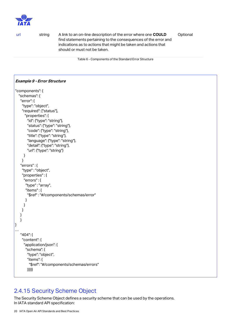

url string A link to an on-line description of the error where one **COULD** find statements pertaining to the consequences of the error and indications as to actions that might be taken and actions that should or must not be taken. **Optional** 

Table 6 - Components of the Standard Error Structure

#### **Example 9 - Error Structure**

```
"components": {
   "schemas": {
    "error": {
     "type": "object",
     "required": ["status"],
       "properties": {
         "id": {"type": "string"},
         "status": {"type": "string"},
         "code": {"type": "string"},
         "title": {"type": "string"},
         "language": {"type": "string"},
         "detail": {"type": "string"},
         "url": {"type": "string"}
      }
     }
    "errors" : {
     "type" : "object",
     "properties" : {
      "errors" : {
        "type" : "array",
        "items" : {
         "$ref" : "#/components/schemas/error"
       }
      }
     }
    }
    }
}
…
    "404": {
     "content": {
      "application/json": {
        "schema": {
         "type": "object",
         "items": {
          "$ref": "#/components/schemas/errors"
         }}}}}
```
### <span id="page-19-0"></span>2.4.15 Security Scheme Object

The Security Scheme Object defines a security scheme that can be used by the operations. In IATA standard API specification: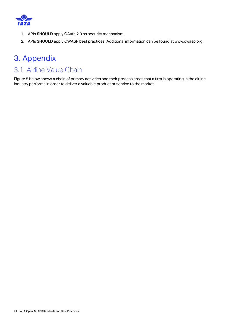

- 1. APIs **SHOULD** apply OAuth 2.0 as security mechanism.
- 2. APIs **SHOULD** apply OWASP best practices. Additional information can be found at www.owasp.org.

# <span id="page-20-0"></span>3. Appendix

# <span id="page-20-1"></span>3.1. Airline Value Chain

[Figure 5](#page-21-0) below shows a chain of primary activities and their process areas that a firm is operating in the airline industry performs in order to deliver a valuable [product](http://en.wikipedia.org/wiki/Product_(business)) or [service](http://en.wikipedia.org/wiki/Service_(economics)) to the [market.](http://en.wikipedia.org/wiki/Market_(economics))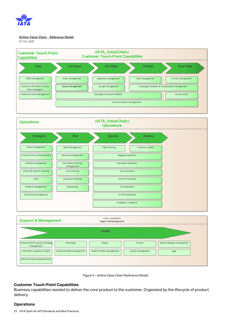

#### Airline Value Chain - Reference Model

07-Oct-2020





#### <span id="page-21-0"></span>**Customer Touch-Point Capabilities**

Business capabilities needed to deliver the core product to the customer. Organized by the lifecycle of product delivery.

#### **Operations**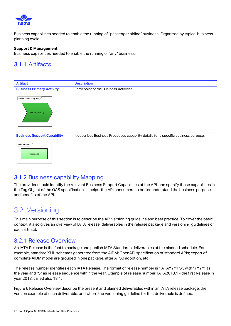

Business capabilities needed to enable the running of "passenger airline" business. Organized by typical business planning cycle.

#### **Support & Management**

Business capabilities needed to enable the running of "any" business.

### <span id="page-22-0"></span>3.1.1 Artifacts



### <span id="page-22-1"></span>3.1.2 Business capability Mapping

The provider should identify the relevant Business Support Capabilities of the API, and specify those capabilities in the Tag Object of the OAS specification. It helps the API consumers to better understand the business purpose and benefits of the API.

## <span id="page-22-2"></span>3.2. Versioning

This main purpose of this section is to describe the API versioning guideline and best practice. To cover the basic context, it also gives an overview of IATA release, deliverables in the release package and versioning guidelines of each artifact.

### <span id="page-22-3"></span>3.2.1 Release Overview

An IATA Release is the fact to package and publish IATA Standards deliverables at the planned schedule. For example, standard XML schemas generated from the AIDM; OpenAPI specification of standard APIs; export of complete AIDM model are grouped in one package, after ATSB adoption, etc.

The release number identifies each IATA Release. The format of release number is "IATAYYYY.S", with "YYYY" as the year and "S" as release sequence within the year. Example of release number: IATA2018.1 - the first Release in year 2018, called also 18.1.

Figure 6 [Release Overview](#page-23-4) describe the present and planned deliverables within an IATA release package, the version example of each deliverable, and where the versioning guideline for that deliverable is defined.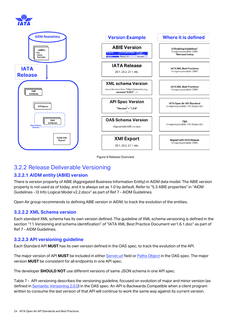



Figure 6 Release Overview

### <span id="page-23-4"></span><span id="page-23-0"></span>3.2.2 Release Deliverable Versioning

### <span id="page-23-1"></span>**3.2.2.1 AIDM entity (ABIE) version**

There is version property of ABIE (Aggregated Business Information Entity) in AIDM data model. The ABIE version property is not used as of today, and it is always set as 1.0 by default. Refer to "5.3 ABIE properties" in "AIDM Guidelines - I3 Info Logical Model v2.2.docx" as part of Ref 7 - [AIDM Guidelines.](#page-25-2)

Open Air group recommends to defining ABIE version in AIDM, to track the evolution of the entities.

#### <span id="page-23-2"></span>**3.2.2.2 XML Schema version**

Each standard XML schema has its own version defined. The guideline of XML schema versioning is defined in the section "11 Versioning and schema identification" of "IATA XML Best Practice Document ver1.6.1.doc" as part of Ref 7 - [AIDM Guidelines.](#page-25-2)

#### <span id="page-23-3"></span>**3.2.2.3 API versioning guideline**

Each Standard API **MUST** has its own version defined in the OAS spec, to track the evolution of the API.

The major version of API **MUST** be included in eithe[r Server.url](#page-7-2) field o[r Paths Object](#page-8-1) in the OAS spec. The major version **MUST** be consistent for all endpoints in one API spec.

The developer **SHOULD NOT** use different versions of same JSON schema in one API spec.

Table 7 - [API versioning](#page-24-2) describes the versioning guideline, focused on evolution of major and minor version (as defined in [Semantic Versioning 2.0.0\)](https://semver.org/) in the OAS spec. An API is Backwards Compatible when a client program written to consume the last version of that API will continue to work the same way against its current version.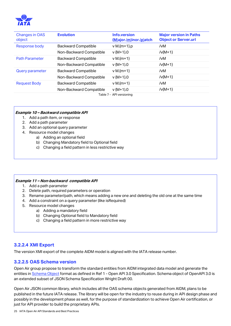

| <b>Changes in OAS</b><br>object | <b>Evolution</b>           | Info.version<br>$(M)$ ajor. $(m)$ inor. $(p)$ atch | <b>Major version in Paths</b><br><b>Object or Server.url</b> |
|---------------------------------|----------------------------|----------------------------------------------------|--------------------------------------------------------------|
| <b>Response body</b>            | <b>Backward Compatible</b> | $v M_{\cdot}$ [m+1].p                              | /vM                                                          |
|                                 | Non-Backward Compatible    | $v$ {M+1}.0                                        | $/v{M+1}$                                                    |
| <b>Path Parameter</b>           | <b>Backward Compatible</b> | $v M_{\text{m+1}}$                                 | /vM                                                          |
|                                 | Non-Backward Compatible    | $v(1+1)$ .0                                        | $/v{M+1}$                                                    |
| <b>Query parameter</b>          | <b>Backward Compatible</b> | $v M_{\text{m+1}}$                                 | /vM                                                          |
|                                 | Non-Backward Compatible    | $v{M+1}$ .0                                        | $/v{M+1}$                                                    |
| <b>Request Body</b>             | <b>Backward Compatible</b> | $v M_{\text{m+1}}$                                 | /vM                                                          |
|                                 | Non-Backward Compatible    | $v(1+1)$ .0                                        | $/v{M+1}$                                                    |

#### Table 7 - API versioning

#### <span id="page-24-2"></span>**Example 10 – Backward compatible API**

- 1. Add a path item, or response
- 2. Add a path parameter
- 3. Add an optional query parameter
- 4. Resource model changes
	- a) Adding an optional field
	- b) Changing Mandatory field to Optional field
	- c) Changing a field pattern in less restrictive way

#### **Example 11 – Non-backward compatible API**

- 1. Add a path parameter
- 2. Delete path, required parameters or operation
- 3. Rename parameter/path, which means adding a new one and deleting the old one at the same time
- 4. Add a constraint on a query parameter (like isRequired)
- 5. Resource model changes
	- a) Adding a mandatory field
	- b) Changing Optional field to Mandatory field
	- c) Changing a field pattern in more restrictive way

#### <span id="page-24-0"></span>**3.2.2.4 XMI Export**

The version XMI export of the complete AIDM model is aligned with the IATA release number.

#### <span id="page-24-1"></span>**3.2.2.5 OAS Schema version**

Open Air group propose to transform the standard entities from AIDM integrated data model and generate the entities in [Schema Object](#page-11-0) format as defined in Ref 1 - [Open API 3.0 Specification.](#page-25-3) Schema object of OpenAPI 3.0 is an extended subset of JSON Schema Specification Wright Draft 00.

Open Air JSON common library, which includes all the OAS schema objects generated from AIDM, plans to be published in the future IATA release. The library will be open for the industry to reuse during in API design phase and possibly in the development phase as well, for the purpose of standardization to achieve Open Air certification, or just for API provider to build the proprietary APIs.